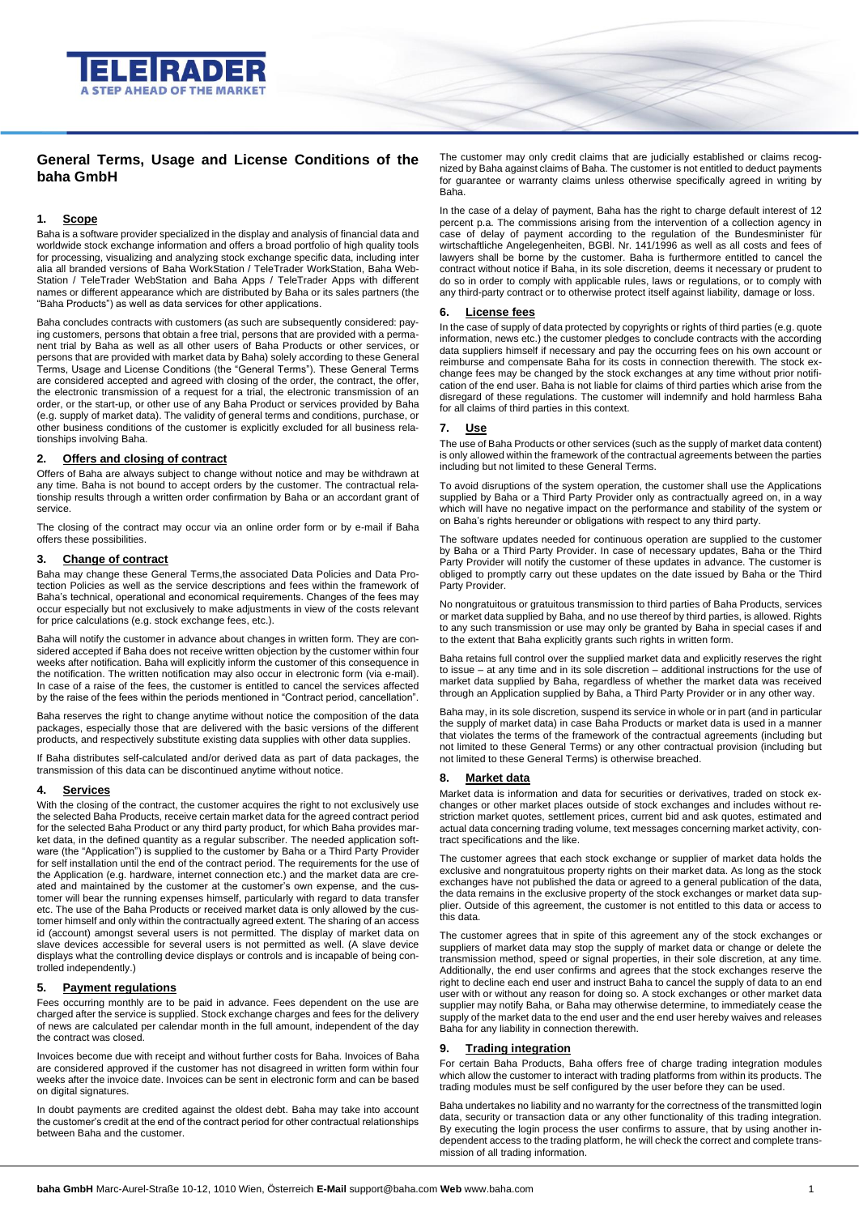

# **General Terms, Usage and License Conditions of the baha GmbH**

## **1. Scope**

Baha is a software provider specialized in the display and analysis of financial data and worldwide stock exchange information and offers a broad portfolio of high quality tools for processing, visualizing and analyzing stock exchange specific data, including inter alia all branded versions of Baha WorkStation / TeleTrader WorkStation, Baha Web-Station / TeleTrader WebStation and Baha Apps / TeleTrader Apps with different names or different appearance which are distributed by Baha or its sales partners (the "Baha Products") as well as data services for other applications.

Baha concludes contracts with customers (as such are subsequently considered: paying customers, persons that obtain a free trial, persons that are provided with a permanent trial by Baha as well as all other users of Baha Products or other services, or persons that are provided with market data by Baha) solely according to these General Terms, Usage and License Conditions (the "General Terms"). These General Terms are considered accepted and agreed with closing of the order, the contract, the offer, the electronic transmission of a request for a trial, the electronic transmission of an order, or the start-up, or other use of any Baha Product or services provided by Baha (e.g. supply of market data). The validity of general terms and conditions, purchase, or other business conditions of the customer is explicitly excluded for all business relationships involving Baha.

# **2. Offers and closing of contract**

Offers of Baha are always subject to change without notice and may be withdrawn at any time. Baha is not bound to accept orders by the customer. The contractual relationship results through a written order confirmation by Baha or an accordant grant of service.

The closing of the contract may occur via an online order form or by e-mail if Baha offers these possibilities.

# **3. Change of contract**

Baha may change these General Terms,the associated Data Policies and Data Protection Policies as well as the service descriptions and fees within the framework of Baha's technical, operational and economical requirements. Changes of the fees may occur especially but not exclusively to make adjustments in view of the costs relevant for price calculations (e.g. stock exchange fees, etc.).

Baha will notify the customer in advance about changes in written form. They are considered accepted if Baha does not receive written objection by the customer within four weeks after notification. Baha will explicitly inform the customer of this consequence in the notification. The written notification may also occur in electronic form (via e-mail). In case of a raise of the fees, the customer is entitled to cancel the services affected by the raise of the fees within the periods mentioned in "Contract period, cancellation".

Baha reserves the right to change anytime without notice the composition of the data packages, especially those that are delivered with the basic versions of the different products, and respectively substitute existing data supplies with other data supplies.

If Baha distributes self-calculated and/or derived data as part of data packages, the transmission of this data can be discontinued anytime without notice.

#### **4. Services**

With the closing of the contract, the customer acquires the right to not exclusively use the selected Baha Products, receive certain market data for the agreed contract period for the selected Baha Product or any third party product, for which Baha provides market data, in the defined quantity as a regular subscriber. The needed application software (the "Application") is supplied to the customer by Baha or a Third Party Provider for self installation until the end of the contract period. The requirements for the use of the Application (e.g. hardware, internet connection etc.) and the market data are created and maintained by the customer at the customer's own expense, and the customer will bear the running expenses himself, particularly with regard to data transfer etc. The use of the Baha Products or received market data is only allowed by the customer himself and only within the contractually agreed extent. The sharing of an access id (account) amongst several users is not permitted. The display of market data on slave devices accessible for several users is not permitted as well. (A slave device displays what the controlling device displays or controls and is incapable of being controlled independently.)

# **5. Payment regulations**

Fees occurring monthly are to be paid in advance. Fees dependent on the use are charged after the service is supplied. Stock exchange charges and fees for the delivery of news are calculated per calendar month in the full amount, independent of the day the contract was closed.

Invoices become due with receipt and without further costs for Baha. Invoices of Baha are considered approved if the customer has not disagreed in written form within four weeks after the invoice date. Invoices can be sent in electronic form and can be based on digital signatures.

In doubt payments are credited against the oldest debt. Baha may take into account the customer's credit at the end of the contract period for other contractual relationships between Baha and the customer.

The customer may only credit claims that are judicially established or claims recognized by Baha against claims of Baha. The customer is not entitled to deduct payments for guarantee or warranty claims unless otherwise specifically agreed in writing by Baha.

In the case of a delay of payment, Baha has the right to charge default interest of 12 percent p.a. The commissions arising from the intervention of a collection agency in case of delay of payment according to the regulation of the Bundesminister für wirtschaftliche Angelegenheiten, BGBl. Nr. 141/1996 as well as all costs and fees of lawyers shall be borne by the customer. Baha is furthermore entitled to cancel the contract without notice if Baha, in its sole discretion, deems it necessary or prudent to do so in order to comply with applicable rules, laws or regulations, or to comply with any third-party contract or to otherwise protect itself against liability, damage or loss.

### **6. License fees**

In the case of supply of data protected by copyrights or rights of third parties (e.g. quote information, news etc.) the customer pledges to conclude contracts with the according data suppliers himself if necessary and pay the occurring fees on his own account or reimburse and compensate Baha for its costs in connection therewith. The stock exchange fees may be changed by the stock exchanges at any time without prior notification of the end user. Baha is not liable for claims of third parties which arise from the disregard of these regulations. The customer will indemnify and hold harmless Baha for all claims of third parties in this context.

#### **7. Use**

The use of Baha Products or other services (such as the supply of market data content) is only allowed within the framework of the contractual agreements between the parties including but not limited to these General Terms.

To avoid disruptions of the system operation, the customer shall use the Applications supplied by Baha or a Third Party Provider only as contractually agreed on, in a way which will have no negative impact on the performance and stability of the system or on Baha's rights hereunder or obligations with respect to any third party.

The software updates needed for continuous operation are supplied to the customer by Baha or a Third Party Provider. In case of necessary updates, Baha or the Third Party Provider will notify the customer of these updates in advance. The customer is obliged to promptly carry out these updates on the date issued by Baha or the Third Party Provider.

No nongratuitous or gratuitous transmission to third parties of Baha Products, services or market data supplied by Baha, and no use thereof by third parties, is allowed. Rights to any such transmission or use may only be granted by Baha in special cases if and to the extent that Baha explicitly grants such rights in written form.

Baha retains full control over the supplied market data and explicitly reserves the right to issue – at any time and in its sole discretion – additional instructions for the use of market data supplied by Baha, regardless of whether the market data was received through an Application supplied by Baha, a Third Party Provider or in any other way.

Baha may, in its sole discretion, suspend its service in whole or in part (and in particular the supply of market data) in case Baha Products or market data is used in a manner that violates the terms of the framework of the contractual agreements (including but not limited to these General Terms) or any other contractual provision (including but not limited to these General Terms) is otherwise breached.

# **8. Market data**

Market data is information and data for securities or derivatives, traded on stock exchanges or other market places outside of stock exchanges and includes without restriction market quotes, settlement prices, current bid and ask quotes, estimated and actual data concerning trading volume, text messages concerning market activity, contract specifications and the like.

The customer agrees that each stock exchange or supplier of market data holds the exclusive and nongratuitous property rights on their market data. As long as the stock exchanges have not published the data or agreed to a general publication of the data, the data remains in the exclusive property of the stock exchanges or market data supplier. Outside of this agreement, the customer is not entitled to this data or access to this data.

The customer agrees that in spite of this agreement any of the stock exchanges or suppliers of market data may stop the supply of market data or change or delete the transmission method, speed or signal properties, in their sole discretion, at any time. Additionally, the end user confirms and agrees that the stock exchanges reserve the right to decline each end user and instruct Baha to cancel the supply of data to an end user with or without any reason for doing so. A stock exchanges or other market data supplier may notify Baha, or Baha may otherwise determine, to immediately cease the supply of the market data to the end user and the end user hereby waives and releases Baha for any liability in connection therewith.

#### **9. Trading integration**

For certain Baha Products, Baha offers free of charge trading integration modules which allow the customer to interact with trading platforms from within its products. The trading modules must be self configured by the user before they can be used.

Baha undertakes no liability and no warranty for the correctness of the transmitted login data, security or transaction data or any other functionality of this trading integration. By executing the login process the user confirms to assure, that by using another independent access to the trading platform, he will check the correct and complete transmission of all trading information.